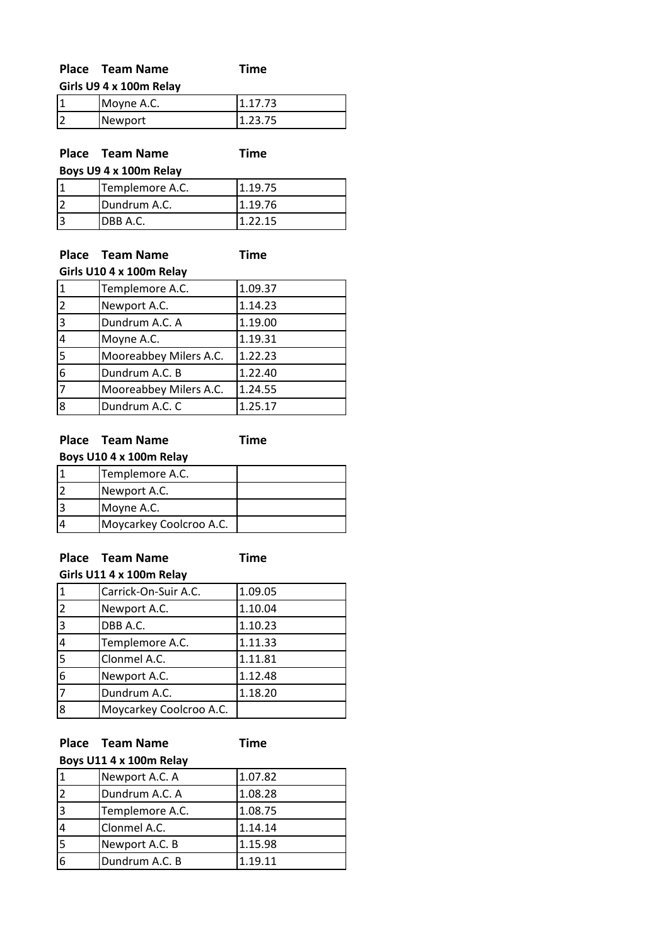| <b>Place Team Name</b>  | Time |  |
|-------------------------|------|--|
| Girls U9 4 x 100m Relay |      |  |
|                         |      |  |

| 1 | Moyne A.C. |  |
|---|------------|--|
| 2 | Newport    |  |

## **Place Team Name Time Boys U9 4 x 100m Relay**

| <b>DUYS US 4 X LUUIII NEIDY</b> |                 |         |
|---------------------------------|-----------------|---------|
| ا ا                             | Templemore A.C. | 1.19.75 |
| l2                              | Dundrum A.C.    | 1.19.76 |
| 3                               | IDBB A.C.       | 1.22.15 |

## **Place Team Name Time Girls U10 4 x 100m Relay**

|                             | <b>UILIS UIU 4 X TUUIII NEIDV</b> |         |  |
|-----------------------------|-----------------------------------|---------|--|
| $\overline{1}$              | Templemore A.C.                   | 1.09.37 |  |
| $\overline{2}$              | Newport A.C.                      | 1.14.23 |  |
| $\overline{3}$              | Dundrum A.C. A                    | 1.19.00 |  |
| $\overline{4}$              | Moyne A.C.                        | 1.19.31 |  |
|                             | Mooreabbey Milers A.C.            | 1.22.23 |  |
| $\frac{5}{6}$ $\frac{6}{7}$ | Dundrum A.C. B                    | 1.22.40 |  |
|                             | Mooreabbey Milers A.C.            | 1.24.55 |  |
| $\overline{8}$              | Dundrum A.C. C                    | 1.25.17 |  |

## **Place Team Name Time**

| Boys U10 4 x 100m Relay |                         |  |
|-------------------------|-------------------------|--|
|                         | Templemore A.C.         |  |
|                         | Newport A.C.            |  |
|                         | Moyne A.C.              |  |
|                         | Moycarkey Coolcroo A.C. |  |

## **Place Team Name Time**

| Girls U11 4 x 100m Relay |                         |         |
|--------------------------|-------------------------|---------|
| 1                        | Carrick-On-Suir A.C.    | 1.09.05 |
| $\overline{2}$           | Newport A.C.            | 1.10.04 |
| 3                        | DBB A.C.                | 1.10.23 |
| 4                        | Templemore A.C.         | 1.11.33 |
| 5                        | Clonmel A.C.            | 1.11.81 |
| 6                        | Newport A.C.            | 1.12.48 |
| 7                        | Dundrum A.C.            | 1.18.20 |
| 8                        | Moycarkey Coolcroo A.C. |         |

## **Place Team Name Time**

## **Boys U11 4 x 100m Relay**

| Newport A.C. A  | 1.07.82 |
|-----------------|---------|
| Dundrum A.C. A  | 1.08.28 |
| Templemore A.C. | 1.08.75 |
| Clonmel A.C.    | 1.14.14 |
| Newport A.C. B  | 1.15.98 |
| Dundrum A.C. B  | 1.19.11 |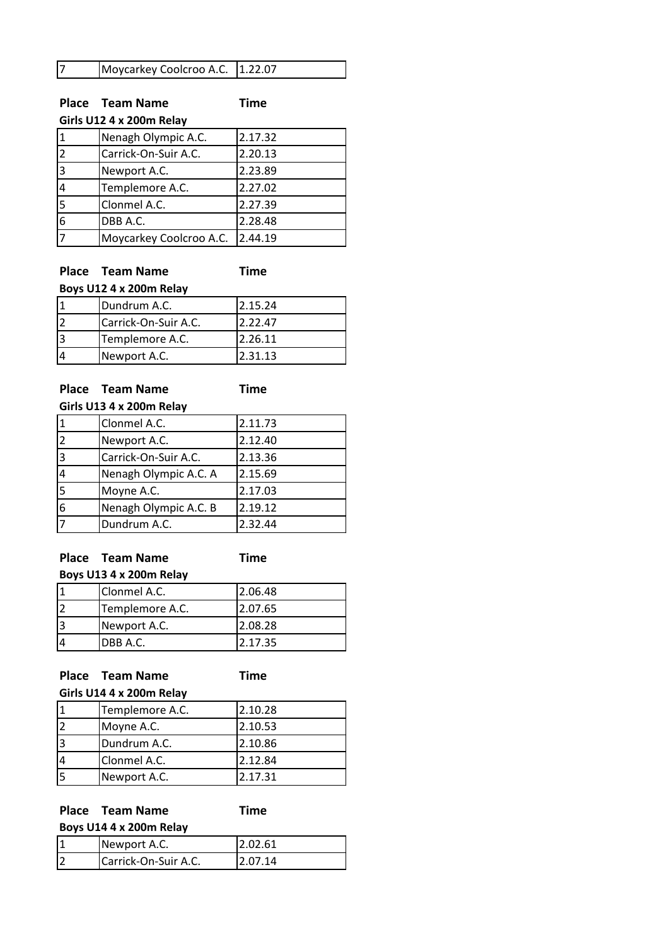|  | Moycarkey Coolcroo A.C. 1.22.07 |  |
|--|---------------------------------|--|
|--|---------------------------------|--|

# **Place Team Name Time**

**Girls U12 4 x 200m Relay**

|   | Nenagh Olympic A.C.     | 2.17.32 |
|---|-------------------------|---------|
| 2 | Carrick-On-Suir A.C.    | 2.20.13 |
| 3 | Newport A.C.            | 2.23.89 |
|   | Templemore A.C.         | 2.27.02 |
|   | Clonmel A.C.            | 2.27.39 |
| 6 | DBB A.C.                | 2.28.48 |
|   | Moycarkey Coolcroo A.C. | 2.44.19 |

**Place Team Name Time**

| Boys U12 4 x 200m Relay |                      |         |
|-------------------------|----------------------|---------|
|                         | Dundrum A.C.         | 2.15.24 |
|                         | Carrick-On-Suir A.C. | 2.22.47 |
| 3                       | Templemore A.C.      | 2.26.11 |
|                         | Newport A.C.         | 2.31.13 |

# **Place Team Name Time**

| Girls U13 4 x 200m Relay |                       |         |
|--------------------------|-----------------------|---------|
|                          | Clonmel A.C.          | 2.11.73 |
| 2                        | Newport A.C.          | 2.12.40 |
| 3                        | Carrick-On-Suir A.C.  | 2.13.36 |
| 4                        | Nenagh Olympic A.C. A | 2.15.69 |
| 5                        | Moyne A.C.            | 2.17.03 |
| 6                        | Nenagh Olympic A.C. B | 2.19.12 |
|                          | Dundrum A.C.          | 2.32.44 |

**Place Team Name Time**

**Boys U13 4 x 200m Relay**

| Clonmel A.C.    | 2.06.48 |
|-----------------|---------|
| Templemore A.C. | 2.07.65 |
| Newport A.C.    | 2.08.28 |
| DBB A.C.        | 2.17.35 |

**Place Team Name Time**

| Girls U14 4 x 200m Relay |                 |         |
|--------------------------|-----------------|---------|
|                          | Templemore A.C. | 2.10.28 |
|                          | Moyne A.C.      | 2.10.53 |
| 13                       | Dundrum A.C.    | 2.10.86 |
|                          | Clonmel A.C.    | 2.12.84 |
|                          | Newport A.C.    | 2.17.31 |

|                         | Place Team Name      | Time    |
|-------------------------|----------------------|---------|
| Boys U14 4 x 200m Relay |                      |         |
|                         | Newport A.C.         | 2.02.61 |
|                         | Carrick-On-Suir A.C. | 2.07.14 |